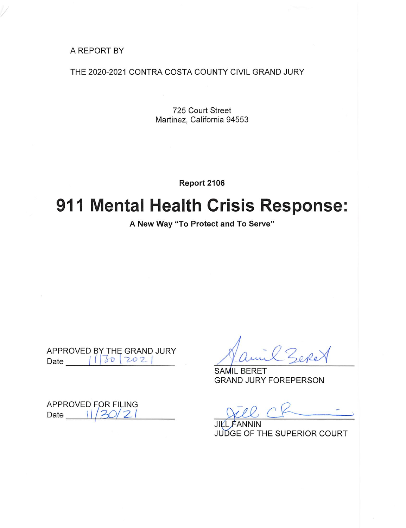A REPORT BY

THE 2020-2021 CONTRA COSTA COUNTY CIVIL GRAND JURY

725 Court Street Martinez, California 94553

Report 2106

# 911 Mental Health Crisis Response:

A New Way "To Protect and To Serve"

APPROVED BY THE GRAND JURY Date 1130 202

**APPROVED FOR FILING** Date  $\frac{1}{20/21}$ 

Zere

**SAMIL BERET GRAND JURY FOREPERSON** 

 $JIV$ JUDGE OF THE SUPERIOR COURT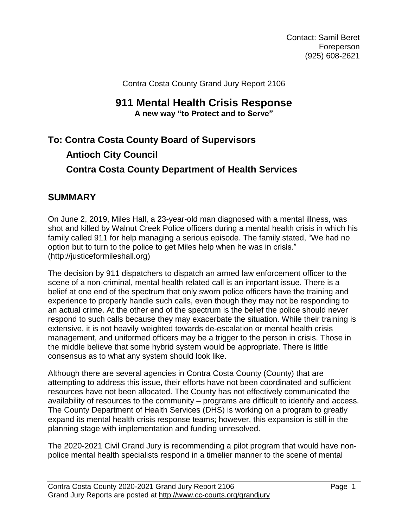Contact: Samil Beret Foreperson (925) 608-2621

Contra Costa County Grand Jury Report 2106

## **911 Mental Health Crisis Response A new way "to Protect and to Serve"**

## **To: Contra Costa County Board of Supervisors Antioch City Council Contra Costa County Department of Health Services**

## **SUMMARY**

On June 2, 2019, Miles Hall, a 23-year-old man diagnosed with a mental illness, was shot and killed by Walnut Creek Police officers during a mental health crisis in which his family called 911 for help managing a serious episode. The family stated, "We had no option but to turn to the police to get Miles help when he was in crisis." [\(http://justiceformileshall.org\)](http://justiceformileshall.org/)

The decision by 911 dispatchers to dispatch an armed law enforcement officer to the scene of a non-criminal, mental health related call is an important issue. There is a belief at one end of the spectrum that only sworn police officers have the training and experience to properly handle such calls, even though they may not be responding to an actual crime. At the other end of the spectrum is the belief the police should never respond to such calls because they may exacerbate the situation. While their training is extensive, it is not heavily weighted towards de-escalation or mental health crisis management, and uniformed officers may be a trigger to the person in crisis. Those in the middle believe that some hybrid system would be appropriate. There is little consensus as to what any system should look like.

Although there are several agencies in Contra Costa County (County) that are attempting to address this issue, their efforts have not been coordinated and sufficient resources have not been allocated. The County has not effectively communicated the availability of resources to the community – programs are difficult to identify and access. The County Department of Health Services (DHS) is working on a program to greatly expand its mental health crisis response teams; however, this expansion is still in the planning stage with implementation and funding unresolved.

The 2020-2021 Civil Grand Jury is recommending a pilot program that would have nonpolice mental health specialists respond in a timelier manner to the scene of mental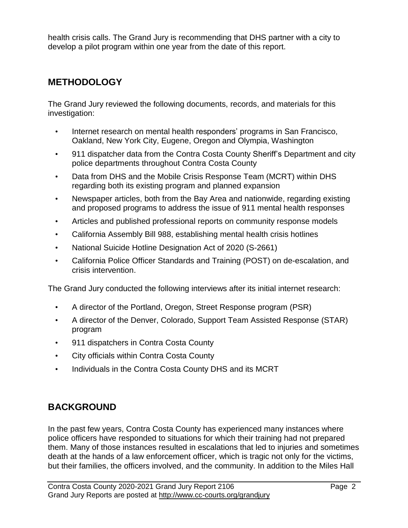health crisis calls. The Grand Jury is recommending that DHS partner with a city to develop a pilot program within one year from the date of this report.

## **METHODOLOGY**

The Grand Jury reviewed the following documents, records, and materials for this investigation:

- Internet research on mental health responders' programs in San Francisco, Oakland, New York City, Eugene, Oregon and Olympia, Washington
- 911 dispatcher data from the Contra Costa County Sheriff's Department and city police departments throughout Contra Costa County
- Data from DHS and the Mobile Crisis Response Team (MCRT) within DHS regarding both its existing program and planned expansion
- Newspaper articles, both from the Bay Area and nationwide, regarding existing and proposed programs to address the issue of 911 mental health responses
- Articles and published professional reports on community response models
- California Assembly Bill 988, establishing mental health crisis hotlines
- National Suicide Hotline Designation Act of 2020 (S-2661)
- California Police Officer Standards and Training (POST) on de-escalation, and crisis intervention.

The Grand Jury conducted the following interviews after its initial internet research:

- A director of the Portland, Oregon, Street Response program (PSR)
- A director of the Denver, Colorado, Support Team Assisted Response (STAR) program
- 911 dispatchers in Contra Costa County
- City officials within Contra Costa County
- Individuals in the Contra Costa County DHS and its MCRT

## **BACKGROUND**

In the past few years, Contra Costa County has experienced many instances where police officers have responded to situations for which their training had not prepared them. Many of those instances resulted in escalations that led to injuries and sometimes death at the hands of a law enforcement officer, which is tragic not only for the victims, but their families, the officers involved, and the community. In addition to the Miles Hall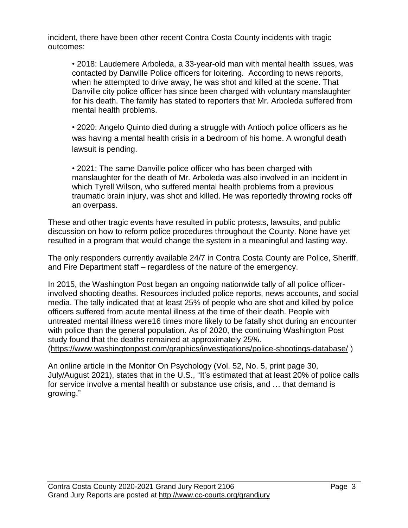incident, there have been other recent Contra Costa County incidents with tragic outcomes:

• 2018: Laudemere Arboleda, a 33-year-old man with mental health issues, was contacted by Danville Police officers for loitering. According to news reports, when he attempted to drive away, he was shot and killed at the scene. That Danville city police officer has since been charged with voluntary manslaughter for his death. The family has stated to reporters that Mr. Arboleda suffered from mental health problems.

• 2020: Angelo Quinto died during a struggle with Antioch police officers as he was having a mental health crisis in a bedroom of his home. A wrongful death lawsuit is pending.

• 2021: The same Danville police officer who has been charged with manslaughter for the death of Mr. Arboleda was also involved in an incident in which Tyrell Wilson, who suffered mental health problems from a previous traumatic brain injury, was shot and killed. He was reportedly throwing rocks off an overpass.

These and other tragic events have resulted in public protests, lawsuits, and public discussion on how to reform police procedures throughout the County. None have yet resulted in a program that would change the system in a meaningful and lasting way.

The only responders currently available 24/7 in Contra Costa County are Police, Sheriff, and Fire Department staff – regardless of the nature of the emergency.

In 2015, the Washington Post began an ongoing [nationwide](http://www.washingtonpost.com/sf/investigative/2015/06/30/distraught-people-deadly-results/?utm_term=.a263183cf8bc) tally of all police officerinvolved [shooting](http://www.washingtonpost.com/sf/investigative/2015/06/30/distraught-people-deadly-results/?utm_term=.a263183cf8bc) deaths. Resources included police reports, news accounts, and social media. The tally indicated that at least 25% of people who are shot and killed by police officers suffered from acute mental illness at the time of their death. People with untreated mental illness were16 times more likely to be fatally shot during an encounter with police than the general population. As of 2020, the continuing Washington Post study found that the deaths remained at approximately 25%. [\(https://www.washingtonpost.com/graphics/investigations/police-shootings-database/](https://www.washingtonpost.com/graphics/investigations/police-shootings-database/) )

An online article in the Monitor On Psychology (Vol. 52, No. 5, print page 30, July/August 2021), states that in the U.S., "It's estimated that at [least](https://www.npr.org/2020/09/18/913229469/mental-health-and-police-violence-how-crisis-intervention-teams-are-failing) 20% of police calls for service involve a mental health or substance use crisis, and … that demand is growing."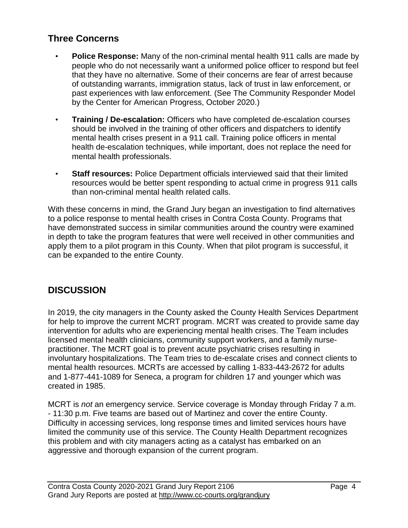## **Three Concerns**

- **Police Response:** Many of the non-criminal mental health 911 calls are made by people who do not necessarily want a uniformed police officer to respond but feel that they have no alternative. Some of their concerns are fear of arrest because of outstanding warrants, immigration status, lack of trust in law enforcement, or past experiences with law enforcement. (See The Community Responder Model by the Center for American Progress, October 2020.)
- **Training / De-escalation:** Officers who have completed de-escalation courses should be involved in the training of other officers and dispatchers to identify mental health crises present in a 911 call. Training police officers in mental health de-escalation techniques, while important, does not replace the need for mental health professionals.
- **Staff resources:** Police Department officials interviewed said that their limited resources would be better spent responding to actual crime in progress 911 calls than non-criminal mental health related calls.

With these concerns in mind, the Grand Jury began an investigation to find alternatives to a police response to mental health crises in Contra Costa County. Programs that have demonstrated success in similar communities around the country were examined in depth to take the program features that were well received in other communities and apply them to a pilot program in this County. When that pilot program is successful, it can be expanded to the entire County.

## **DISCUSSION**

In 2019, the city managers in the County asked the County Health Services Department for help to improve the current MCRT program. MCRT was created to provide same day intervention for adults who are experiencing mental health crises. The Team includes licensed mental health clinicians, community support workers, and a family nursepractitioner. The MCRT goal is to prevent acute psychiatric crises resulting in involuntary hospitalizations. The Team tries to de-escalate crises and connect clients to mental health resources. MCRTs are accessed by calling 1-833-443-2672 for adults and 1-877-441-1089 for Seneca, a program for children 17 and younger which was created in 1985.

MCRT is *not* an emergency service. Service coverage is Monday through Friday 7 a.m. - 11:30 p.m. Five teams are based out of Martinez and cover the entire County. Difficulty in accessing services, long response times and limited services hours have limited the community use of this service. The County Health Department recognizes this problem and with city managers acting as a catalyst has embarked on an aggressive and thorough expansion of the current program.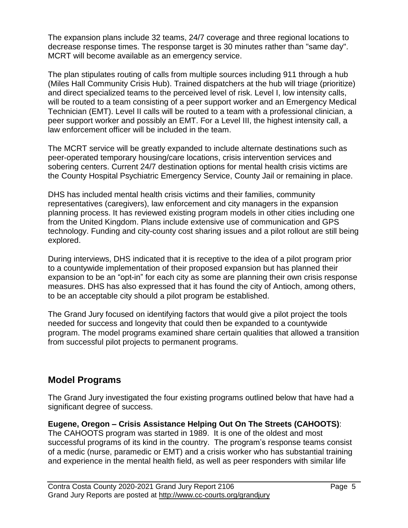The expansion plans include 32 teams, 24/7 coverage and three regional locations to decrease response times. The response target is 30 minutes rather than "same day". MCRT will become available as an emergency service.

The plan stipulates routing of calls from multiple sources including 911 through a hub (Miles Hall Community Crisis Hub). Trained dispatchers at the hub will triage (prioritize) and direct specialized teams to the perceived level of risk. Level I, low intensity calls, will be routed to a team consisting of a peer support worker and an Emergency Medical Technician (EMT). Level II calls will be routed to a team with a professional clinician, a peer support worker and possibly an EMT. For a Level III, the highest intensity call, a law enforcement officer will be included in the team.

The MCRT service will be greatly expanded to include alternate destinations such as peer-operated temporary housing/care locations, crisis intervention services and sobering centers. Current 24/7 destination options for mental health crisis victims are the County Hospital Psychiatric Emergency Service, County Jail or remaining in place.

DHS has included mental health crisis victims and their families, community representatives (caregivers), law enforcement and city managers in the expansion planning process. It has reviewed existing program models in other cities including one from the United Kingdom. Plans include extensive use of communication and GPS technology. Funding and city-county cost sharing issues and a pilot rollout are still being explored.

During interviews, DHS indicated that it is receptive to the idea of a pilot program prior to a countywide implementation of their proposed expansion but has planned their expansion to be an "opt-in" for each city as some are planning their own crisis response measures. DHS has also expressed that it has found the city of Antioch, among others, to be an acceptable city should a pilot program be established.

The Grand Jury focused on identifying factors that would give a pilot project the tools needed for success and longevity that could then be expanded to a countywide program. The model programs examined share certain qualities that allowed a transition from successful pilot projects to permanent programs.

## **Model Programs**

The Grand Jury investigated the four existing programs outlined below that have had a significant degree of success.

**Eugene, Oregon – Crisis Assistance Helping Out On The Streets (CAHOOTS)**: The CAHOOTS program was started in 1989. It is one of the oldest and most successful programs of its kind in the country. The program's response teams consist of a medic (nurse, paramedic or EMT) and a crisis worker who has substantial training and experience in the mental health field, as well as peer responders with similar life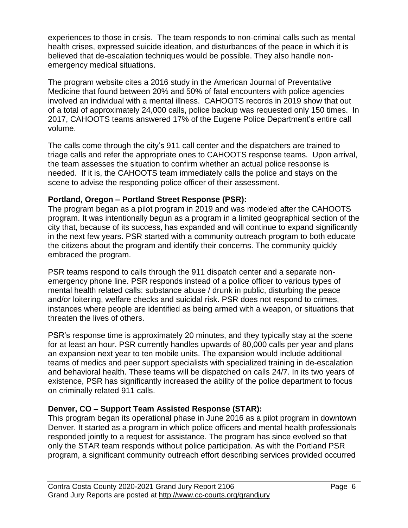experiences to those in crisis. The team responds to non-criminal calls such as mental health crises, expressed suicide ideation, and disturbances of the peace in which it is believed that de-escalation techniques would be possible. They also handle nonemergency medical situations.

The program website cites a 2016 study in the American Journal of Preventative Medicine that found between 20% and 50% of fatal encounters with police agencies involved an individual with a mental illness. CAHOOTS records in 2019 show that out of a total of approximately 24,000 calls, police backup was requested only 150 times. In 2017, CAHOOTS teams answered 17% of the Eugene Police Department's entire call volume.

The calls come through the city's 911 call center and the dispatchers are trained to triage calls and refer the appropriate ones to CAHOOTS response teams. Upon arrival, the team assesses the situation to confirm whether an actual police response is needed. If it is, the CAHOOTS team immediately calls the police and stays on the scene to advise the responding police officer of their assessment.

#### **Portland, Oregon – Portland Street Response (PSR):**

The program began as a pilot program in 2019 and was modeled after the CAHOOTS program. It was intentionally begun as a program in a limited geographical section of the city that, because of its success, has expanded and will continue to expand significantly in the next few years. PSR started with a community outreach program to both educate the citizens about the program and identify their concerns. The community quickly embraced the program.

PSR teams respond to calls through the 911 dispatch center and a separate nonemergency phone line. PSR responds instead of a police officer to various types of mental health related calls: substance abuse / drunk in public, disturbing the peace and/or loitering, welfare checks and suicidal risk. PSR does not respond to crimes, instances where people are identified as being armed with a weapon, or situations that threaten the lives of others.

PSR's response time is approximately 20 minutes, and they typically stay at the scene for at least an hour. PSR currently handles upwards of 80,000 calls per year and plans an expansion next year to ten mobile units. The expansion would include additional teams of medics and peer support specialists with specialized training in de-escalation and behavioral health. These teams will be dispatched on calls 24/7. In its two years of existence, PSR has significantly increased the ability of the police department to focus on criminally related 911 calls.

#### **Denver, CO – Support Team Assisted Response (STAR):**

This program began its operational phase in June 2016 as a pilot program in downtown Denver. It started as a program in which police officers and mental health professionals responded jointly to a request for assistance. The program has since evolved so that only the STAR team responds without police participation. As with the Portland PSR program, a significant community outreach effort describing services provided occurred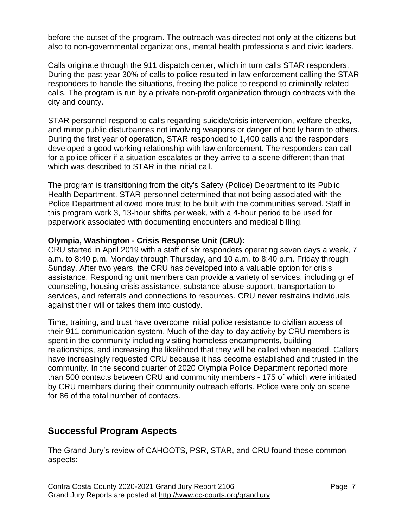before the outset of the program. The outreach was directed not only at the citizens but also to non-governmental organizations, mental health professionals and civic leaders.

Calls originate through the 911 dispatch center, which in turn calls STAR responders. During the past year 30% of calls to police resulted in law enforcement calling the STAR responders to handle the situations, freeing the police to respond to criminally related calls. The program is run by a private non-profit organization through contracts with the city and county.

STAR personnel respond to calls regarding suicide/crisis intervention, welfare checks, and minor public disturbances not involving weapons or danger of bodily harm to others. During the first year of operation, STAR responded to 1,400 calls and the responders developed a good working relationship with law enforcement. The responders can call for a police officer if a situation escalates or they arrive to a scene different than that which was described to STAR in the initial call.

The program is transitioning from the city's Safety (Police) Department to its Public Health Department. STAR personnel determined that not being associated with the Police Department allowed more trust to be built with the communities served. Staff in this program work 3, 13-hour shifts per week, with a 4-hour period to be used for paperwork associated with documenting encounters and medical billing.

#### **Olympia, Washington - Crisis Response Unit (CRU):**

CRU started in April 2019 with a staff of six responders operating seven days a week, 7 a.m. to 8:40 p.m. Monday through Thursday, and 10 a.m. to 8:40 p.m. Friday through Sunday. After two years, the CRU has developed into a valuable option for crisis assistance. Responding unit members can provide a variety of services, including grief counseling, housing crisis assistance, substance abuse support, transportation to services, and referrals and connections to resources. CRU never restrains individuals against their will or takes them into custody.

Time, training, and trust have overcome initial police resistance to civilian access of their 911 communication system. Much of the day-to-day activity by CRU members is spent in the community including visiting homeless encampments, building relationships, and increasing the likelihood that they will be called when needed. Callers have increasingly requested CRU because it has become established and trusted in the community. In the second quarter of 2020 Olympia Police Department reported more than 500 contacts between CRU and community members - 175 of which were initiated by CRU members during their community outreach efforts. Police were only on scene for 86 of the total number of contacts.

## **Successful Program Aspects**

The Grand Jury's review of CAHOOTS, PSR, STAR, and CRU found these common aspects: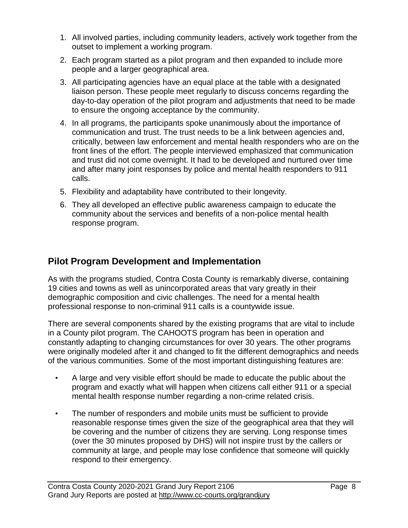- 1. All involved parties, including community leaders, actively work together from the outset to implement a working program.
- 2. Each program started as a pilot program and then expanded to include more people and a larger geographical area.
- 3. All participating agencies have an equal place at the table with a designated liaison person. These people meet regularly to discuss concerns regarding the day-to-day operation of the pilot program and adjustments that need to be made to ensure the ongoing acceptance by the community.
- 4. In all programs, the participants spoke unanimously about the importance of communication and trust. The trust needs to be a link between agencies and, critically, between law enforcement and mental health responders who are on the front lines of the effort. The people interviewed emphasized that communication and trust did not come overnight. It had to be developed and nurtured over time and after many joint responses by police and mental health responders to 911 calls.
- 5. Flexibility and adaptability have contributed to their longevity.
- 6. They all developed an effective public awareness campaign to educate the community about the services and benefits of a non-police mental health response program.

## **Pilot Program Development and Implementation**

As with the programs studied, Contra Costa County is remarkably diverse, containing 19 cities and towns as well as unincorporated areas that vary greatly in their demographic composition and civic challenges. The need for a mental health professional response to non-criminal 911 calls is a countywide issue.

There are several components shared by the existing programs that are vital to include in a County pilot program. The CAHOOTS program has been in operation and constantly adapting to changing circumstances for over 30 years. The other programs were originally modeled after it and changed to fit the different demographics and needs of the various communities. Some of the most important distinguishing features are:

- A large and very visible effort should be made to educate the public about the program and exactly what will happen when citizens call either 911 or a special mental health response number regarding a non-crime related crisis.
- The number of responders and mobile units must be sufficient to provide reasonable response times given the size of the geographical area that they will be covering and the number of citizens they are serving. Long response times (over the 30 minutes proposed by DHS) will not inspire trust by the callers or community at large, and people may lose confidence that someone will quickly respond to their emergency.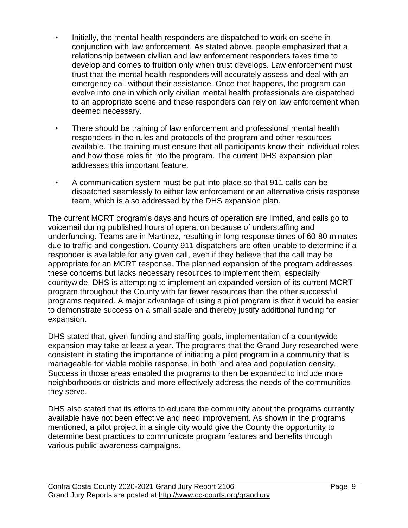- Initially, the mental health responders are dispatched to work on-scene in conjunction with law enforcement. As stated above, people emphasized that a relationship between civilian and law enforcement responders takes time to develop and comes to fruition only when trust develops. Law enforcement must trust that the mental health responders will accurately assess and deal with an emergency call without their assistance. Once that happens, the program can evolve into one in which only civilian mental health professionals are dispatched to an appropriate scene and these responders can rely on law enforcement when deemed necessary.
- There should be training of law enforcement and professional mental health responders in the rules and protocols of the program and other resources available. The training must ensure that all participants know their individual roles and how those roles fit into the program. The current DHS expansion plan addresses this important feature.
- A communication system must be put into place so that 911 calls can be dispatched seamlessly to either law enforcement or an alternative crisis response team, which is also addressed by the DHS expansion plan.

The current MCRT program's days and hours of operation are limited, and calls go to voicemail during published hours of operation because of understaffing and underfunding. Teams are in Martinez, resulting in long response times of 60-80 minutes due to traffic and congestion. County 911 dispatchers are often unable to determine if a responder is available for any given call, even if they believe that the call may be appropriate for an MCRT response. The planned expansion of the program addresses these concerns but lacks necessary resources to implement them, especially countywide. DHS is attempting to implement an expanded version of its current MCRT program throughout the County with far fewer resources than the other successful programs required. A major advantage of using a pilot program is that it would be easier to demonstrate success on a small scale and thereby justify additional funding for expansion.

DHS stated that, given funding and staffing goals, implementation of a countywide expansion may take at least a year. The programs that the Grand Jury researched were consistent in stating the importance of initiating a pilot program in a community that is manageable for viable mobile response, in both land area and population density. Success in those areas enabled the programs to then be expanded to include more neighborhoods or districts and more effectively address the needs of the communities they serve.

DHS also stated that its efforts to educate the community about the programs currently available have not been effective and need improvement. As shown in the programs mentioned, a pilot project in a single city would give the County the opportunity to determine best practices to communicate program features and benefits through various public awareness campaigns.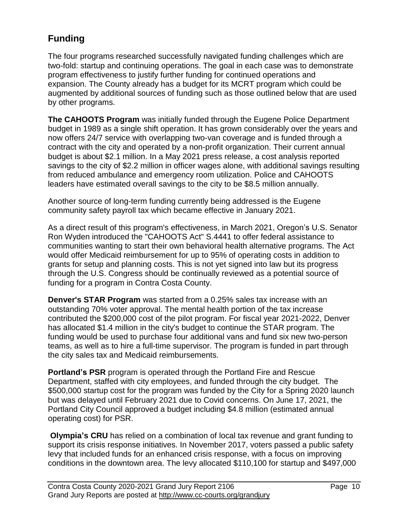## **Funding**

The four programs researched successfully navigated funding challenges which are two-fold: startup and continuing operations. The goal in each case was to demonstrate program effectiveness to justify further funding for continued operations and expansion. The County already has a budget for its MCRT program which could be augmented by additional sources of funding such as those outlined below that are used by other programs.

**The CAHOOTS Program** was initially funded through the Eugene Police Department budget in 1989 as a single shift operation. It has grown considerably over the years and now offers 24/7 service with overlapping two-van coverage and is funded through a contract with the city and operated by a non-profit organization. Their current annual budget is about \$2.1 million. In a May 2021 press release, a cost analysis reported savings to the city of \$2.2 million in officer wages alone, with additional savings resulting from reduced ambulance and emergency room utilization. Police and CAHOOTS leaders have estimated overall savings to the city to be \$8.5 million annually.

Another source of long-term funding currently being addressed is the Eugene community safety payroll tax which became effective in January 2021.

As a direct result of this program's effectiveness, in March 2021, Oregon's U.S. Senator Ron Wyden introduced the "CAHOOTS Act" S.4441 to offer federal assistance to communities wanting to start their own behavioral health alternative programs. The Act would offer Medicaid reimbursement for up to 95% of operating costs in addition to grants for setup and planning costs. This is not yet signed into law but its progress through the U.S. Congress should be continually reviewed as a potential source of funding for a program in Contra Costa County.

**Denver's STAR Program** was started from a 0.25% sales tax increase with an outstanding 70% voter approval. The mental health portion of the tax increase contributed the \$200,000 cost of the pilot program. For fiscal year 2021-2022, Denver has allocated \$1.4 million in the city's budget to continue the STAR program. The funding would be used to purchase four additional vans and fund six new two-person teams, as well as to hire a full-time supervisor. The program is funded in part through the city sales tax and Medicaid reimbursements.

**Portland's PSR** program is operated through the Portland Fire and Rescue Department, staffed with city employees, and funded through the city budget. The \$500,000 startup cost for the program was funded by the City for a Spring 2020 launch but was delayed until February 2021 due to Covid concerns. On June 17, 2021, the Portland City Council approved a budget including \$4.8 million (estimated annual operating cost) for PSR.

**Olympia's CRU** has relied on a combination of local tax revenue and grant funding to support its crisis response initiatives. In November 2017, voters passed a public safety levy that included funds for an enhanced crisis response, with a focus on improving conditions in the downtown area. The levy allocated \$110,100 for startup and \$497,000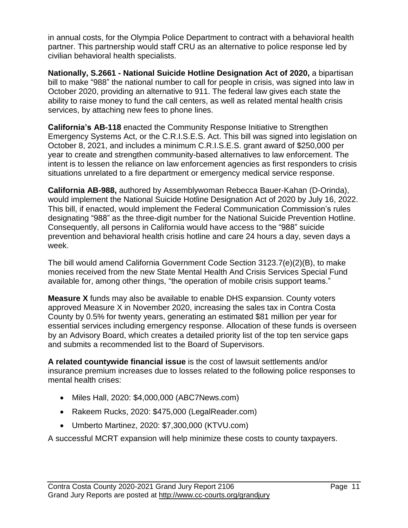in annual costs, for the Olympia Police Department to contract with a behavioral health partner. This partnership would staff CRU as an alternative to police response led by civilian behavioral health specialists.

**Nationally, S.2661 - National Suicide Hotline Designation Act of 2020,** a bipartisan bill to make "988" the national number to call for people in crisis, was signed into law in October 2020, providing an alternative to 911. The federal law gives each state the ability to raise money to fund the call centers, as well as related mental health crisis services, by attaching new fees to phone lines.

**California's AB-118** enacted the Community Response Initiative to Strengthen Emergency Systems Act, or the C.R.I.S.E.S. Act. This bill was signed into legislation on October 8, 2021, and includes a minimum C.R.I.S.E.S. grant award of \$250,000 per year to create and strengthen community-based alternatives to law enforcement. The intent is to lessen the reliance on law enforcement agencies as first responders to crisis situations unrelated to a fire department or emergency medical service response.

**California AB-988,** authored by Assemblywoman Rebecca Bauer-Kahan (D-Orinda), would implement the National Suicide Hotline Designation Act of 2020 by July 16, 2022. This bill, if enacted, would implement the Federal Communication Commission's rules designating "988" as the three-digit number for the National Suicide Prevention Hotline. Consequently, all persons in California would have access to the "988" suicide prevention and behavioral health crisis hotline and care 24 hours a day, seven days a week.

The bill would amend California Government Code Section 3123.7(e)(2)(B), to make monies received from the new State Mental Health And Crisis Services Special Fund available for, among other things, "the operation of mobile crisis support teams."

**Measure X** funds may also be available to enable DHS expansion. County voters approved Measure X in November 2020, increasing the sales tax in Contra Costa County by 0.5% for twenty years, generating an estimated \$81 million per year for essential services including emergency response. Allocation of these funds is overseen by an Advisory Board, which creates a detailed priority list of the top ten service gaps and submits a recommended list to the Board of Supervisors.

**A related countywide financial issue** is the cost of lawsuit settlements and/or insurance premium increases due to losses related to the following police responses to mental health crises:

- Miles Hall, 2020: \$4,000,000 (ABC7News.com)
- Rakeem Rucks, 2020: \$475,000 (LegalReader.com)
- Umberto Martinez, 2020: \$7,300,000 (KTVU.com)

A successful MCRT expansion will help minimize these costs to county taxpayers.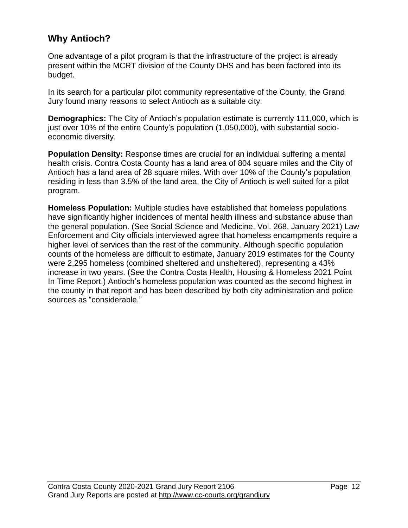## **Why Antioch?**

One advantage of a pilot program is that the infrastructure of the project is already present within the MCRT division of the County DHS and has been factored into its budget.

In its search for a particular pilot community representative of the County, the Grand Jury found many reasons to select Antioch as a suitable city.

**Demographics:** The City of Antioch's population estimate is currently 111,000, which is just over 10% of the entire County's population (1,050,000), with substantial socioeconomic diversity.

**Population Density:** Response times are crucial for an individual suffering a mental health crisis. Contra Costa County has a land area of 804 square miles and the City of Antioch has a land area of 28 square miles. With over 10% of the County's population residing in less than 3.5% of the land area, the City of Antioch is well suited for a pilot program.

**Homeless Population:** Multiple studies have established that homeless populations have significantly higher incidences of mental health illness and substance abuse than the general population. (See Social Science and Medicine, Vol. 268, January 2021) Law Enforcement and City officials interviewed agree that homeless encampments require a higher level of services than the rest of the community. Although specific population counts of the homeless are difficult to estimate, January 2019 estimates for the County were 2,295 homeless (combined sheltered and unsheltered), representing a 43% increase in two years. (See the Contra Costa Health, Housing & Homeless 2021 Point In Time Report.) Antioch's homeless population was counted as the second highest in the county in that report and has been described by both city administration and police sources as "considerable."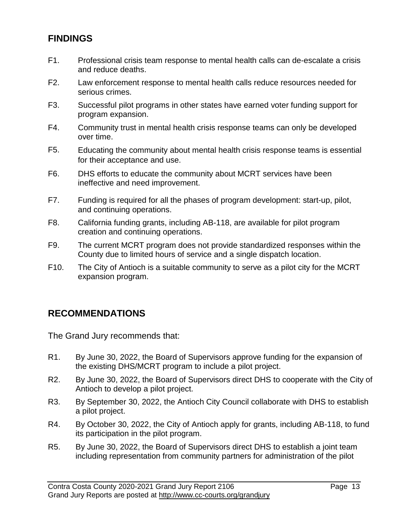## **FINDINGS**

- F1. Professional crisis team response to mental health calls can de-escalate a crisis and reduce deaths.
- F2. Law enforcement response to mental health calls reduce resources needed for serious crimes.
- F3. Successful pilot programs in other states have earned voter funding support for program expansion.
- F4. Community trust in mental health crisis response teams can only be developed over time.
- F5. Educating the community about mental health crisis response teams is essential for their acceptance and use.
- F6. DHS efforts to educate the community about MCRT services have been ineffective and need improvement.
- F7. Funding is required for all the phases of program development: start-up, pilot, and continuing operations.
- F8. California funding grants, including AB-118, are available for pilot program creation and continuing operations.
- F9. The current MCRT program does not provide standardized responses within the County due to limited hours of service and a single dispatch location.
- F10. The City of Antioch is a suitable community to serve as a pilot city for the MCRT expansion program.

## **RECOMMENDATIONS**

The Grand Jury recommends that:

- R1. By June 30, 2022, the Board of Supervisors approve funding for the expansion of the existing DHS/MCRT program to include a pilot project.
- R2. By June 30, 2022, the Board of Supervisors direct DHS to cooperate with the City of Antioch to develop a pilot project.
- R3. By September 30, 2022, the Antioch City Council collaborate with DHS to establish a pilot project.
- R4. By October 30, 2022, the City of Antioch apply for grants, including AB-118, to fund its participation in the pilot program.
- R5. By June 30, 2022, the Board of Supervisors direct DHS to establish a joint team including representation from community partners for administration of the pilot